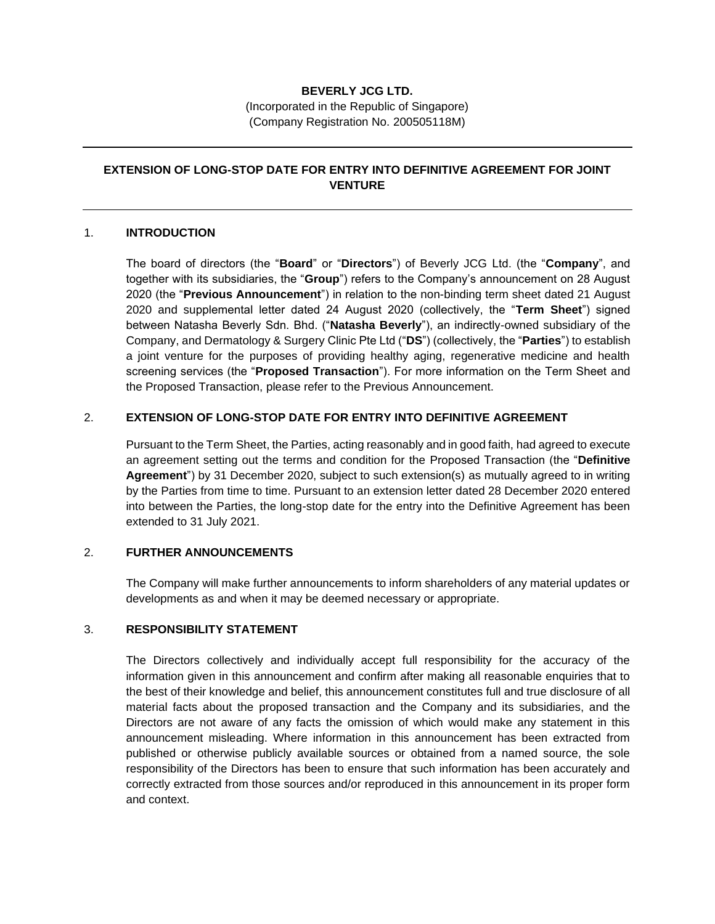## **BEVERLY JCG LTD.**

(Incorporated in the Republic of Singapore) (Company Registration No. 200505118M)

# **EXTENSION OF LONG-STOP DATE FOR ENTRY INTO DEFINITIVE AGREEMENT FOR JOINT VENTURE**

#### 1. **INTRODUCTION**

The board of directors (the "**Board**" or "**Directors**") of Beverly JCG Ltd. (the "**Company**", and together with its subsidiaries, the "**Group**") refers to the Company's announcement on 28 August 2020 (the "**Previous Announcement**") in relation to the non-binding term sheet dated 21 August 2020 and supplemental letter dated 24 August 2020 (collectively, the "**Term Sheet**") signed between Natasha Beverly Sdn. Bhd. ("**Natasha Beverly**"), an indirectly-owned subsidiary of the Company, and Dermatology & Surgery Clinic Pte Ltd ("**DS**") (collectively, the "**Parties**") to establish a joint venture for the purposes of providing healthy aging, regenerative medicine and health screening services (the "**Proposed Transaction**"). For more information on the Term Sheet and the Proposed Transaction, please refer to the Previous Announcement.

### 2. **EXTENSION OF LONG-STOP DATE FOR ENTRY INTO DEFINITIVE AGREEMENT**

Pursuant to the Term Sheet, the Parties, acting reasonably and in good faith, had agreed to execute an agreement setting out the terms and condition for the Proposed Transaction (the "**Definitive Agreement**") by 31 December 2020, subject to such extension(s) as mutually agreed to in writing by the Parties from time to time. Pursuant to an extension letter dated 28 December 2020 entered into between the Parties, the long-stop date for the entry into the Definitive Agreement has been extended to 31 July 2021.

#### 2. **FURTHER ANNOUNCEMENTS**

The Company will make further announcements to inform shareholders of any material updates or developments as and when it may be deemed necessary or appropriate.

#### 3. **RESPONSIBILITY STATEMENT**

The Directors collectively and individually accept full responsibility for the accuracy of the information given in this announcement and confirm after making all reasonable enquiries that to the best of their knowledge and belief, this announcement constitutes full and true disclosure of all material facts about the proposed transaction and the Company and its subsidiaries, and the Directors are not aware of any facts the omission of which would make any statement in this announcement misleading. Where information in this announcement has been extracted from published or otherwise publicly available sources or obtained from a named source, the sole responsibility of the Directors has been to ensure that such information has been accurately and correctly extracted from those sources and/or reproduced in this announcement in its proper form and context.